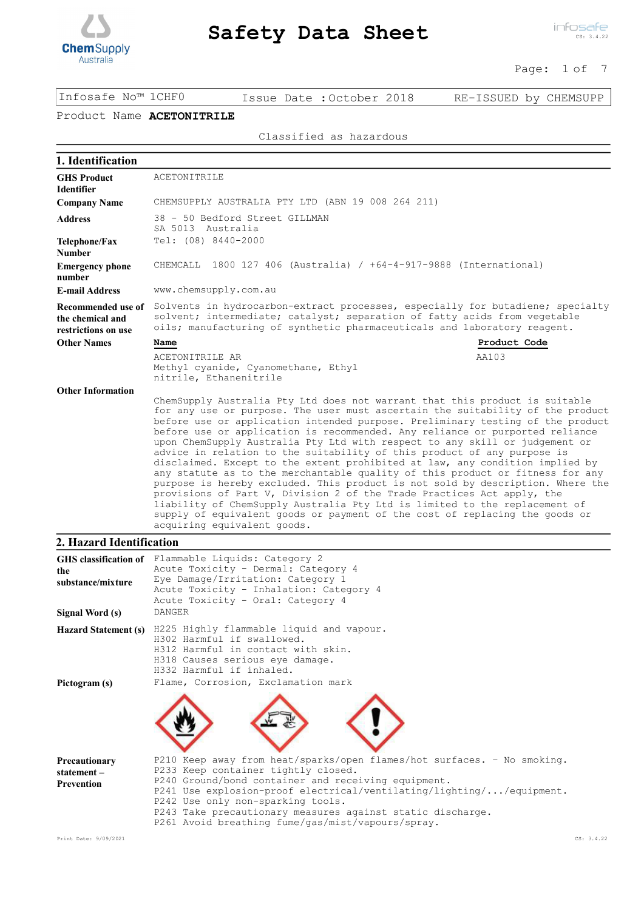

#### Page: 1 of 7

Infosafe No™ 1CHF0 Issue Date :October 2018 RE-ISSUED by CHEMSUPP

## Product Name ACETONITRILE

#### Classified as hazardous

| 1. Identification                                             |                                                                                                                                                                                                                                                                                                                                                                                                                                                                                                                                                                                                                                                                                                                                                                                                                                                                                                                                                                                                                    |
|---------------------------------------------------------------|--------------------------------------------------------------------------------------------------------------------------------------------------------------------------------------------------------------------------------------------------------------------------------------------------------------------------------------------------------------------------------------------------------------------------------------------------------------------------------------------------------------------------------------------------------------------------------------------------------------------------------------------------------------------------------------------------------------------------------------------------------------------------------------------------------------------------------------------------------------------------------------------------------------------------------------------------------------------------------------------------------------------|
| <b>GHS Product</b><br><b>Identifier</b>                       | ACETONITRILE                                                                                                                                                                                                                                                                                                                                                                                                                                                                                                                                                                                                                                                                                                                                                                                                                                                                                                                                                                                                       |
| <b>Company Name</b>                                           | CHEMSUPPLY AUSTRALIA PTY LTD (ABN 19 008 264 211)                                                                                                                                                                                                                                                                                                                                                                                                                                                                                                                                                                                                                                                                                                                                                                                                                                                                                                                                                                  |
| <b>Address</b>                                                | 38 - 50 Bedford Street GILLMAN<br>SA 5013 Australia                                                                                                                                                                                                                                                                                                                                                                                                                                                                                                                                                                                                                                                                                                                                                                                                                                                                                                                                                                |
| Telephone/Fax<br><b>Number</b>                                | Tel: (08) 8440-2000                                                                                                                                                                                                                                                                                                                                                                                                                                                                                                                                                                                                                                                                                                                                                                                                                                                                                                                                                                                                |
| <b>Emergency phone</b><br>number                              | CHEMCALL 1800 127 406 (Australia) / +64-4-917-9888 (International)                                                                                                                                                                                                                                                                                                                                                                                                                                                                                                                                                                                                                                                                                                                                                                                                                                                                                                                                                 |
| <b>E-mail Address</b>                                         | www.chemsupply.com.au                                                                                                                                                                                                                                                                                                                                                                                                                                                                                                                                                                                                                                                                                                                                                                                                                                                                                                                                                                                              |
| Recommended use of<br>the chemical and<br>restrictions on use | Solvents in hydrocarbon-extract processes, especially for butadiene; specialty<br>solvent; intermediate; catalyst; separation of fatty acids from vegetable<br>oils; manufacturing of synthetic pharmaceuticals and laboratory reagent.                                                                                                                                                                                                                                                                                                                                                                                                                                                                                                                                                                                                                                                                                                                                                                            |
| <b>Other Names</b>                                            | Product Code<br><b>Name</b>                                                                                                                                                                                                                                                                                                                                                                                                                                                                                                                                                                                                                                                                                                                                                                                                                                                                                                                                                                                        |
|                                                               | AA103<br>ACETONITRILE AR<br>Methyl cyanide, Cyanomethane, Ethyl<br>nitrile, Ethanenitrile                                                                                                                                                                                                                                                                                                                                                                                                                                                                                                                                                                                                                                                                                                                                                                                                                                                                                                                          |
| <b>Other Information</b>                                      | ChemSupply Australia Pty Ltd does not warrant that this product is suitable<br>for any use or purpose. The user must ascertain the suitability of the product<br>before use or application intended purpose. Preliminary testing of the product<br>before use or application is recommended. Any reliance or purported reliance<br>upon ChemSupply Australia Pty Ltd with respect to any skill or judgement or<br>advice in relation to the suitability of this product of any purpose is<br>disclaimed. Except to the extent prohibited at law, any condition implied by<br>any statute as to the merchantable quality of this product or fitness for any<br>purpose is hereby excluded. This product is not sold by description. Where the<br>provisions of Part V, Division 2 of the Trade Practices Act apply, the<br>liability of ChemSupply Australia Pty Ltd is limited to the replacement of<br>supply of equivalent goods or payment of the cost of replacing the goods or<br>acquiring equivalent goods. |

### **2. Hazard Identification**

| the<br>substance/mixture    | GHS classification of Flammable Liquids: Category 2<br>Acute Toxicity - Dermal: Category 4<br>Eye Damage/Irritation: Category 1<br>Acute Toxicity - Inhalation: Category 4<br>Acute Toxicity - Oral: Category 4 |
|-----------------------------|-----------------------------------------------------------------------------------------------------------------------------------------------------------------------------------------------------------------|
| Signal Word (s)             | <b>DANGER</b>                                                                                                                                                                                                   |
| <b>Hazard Statement (s)</b> | H225 Highly flammable liquid and vapour.<br>H302 Harmful if swallowed.<br>H312 Harmful in contact with skin.<br>H318 Causes serious eye damage.<br>H332 Harmful if inhaled.                                     |
| Pictogram (s)               | Flame, Corrosion, Exclamation mark                                                                                                                                                                              |
|                             |                                                                                                                                                                                                                 |
| Precautionary               | P210 Keep away from heat/sparks/open flames/hot surfaces. - No smoking.                                                                                                                                         |
| statement-                  | P233 Keep container tightly closed.                                                                                                                                                                             |
| <b>Prevention</b>           | P240 Ground/bond container and receiving equipment.<br>P241 Use explosion-proof electrical/ventilating/lighting//equipment.                                                                                     |
|                             | P242 Use only non-sparking tools.                                                                                                                                                                               |
|                             | P243 Take precautionary measures against static discharge.                                                                                                                                                      |
|                             | P261 Avoid breathing fume/gas/mist/vapours/spray.                                                                                                                                                               |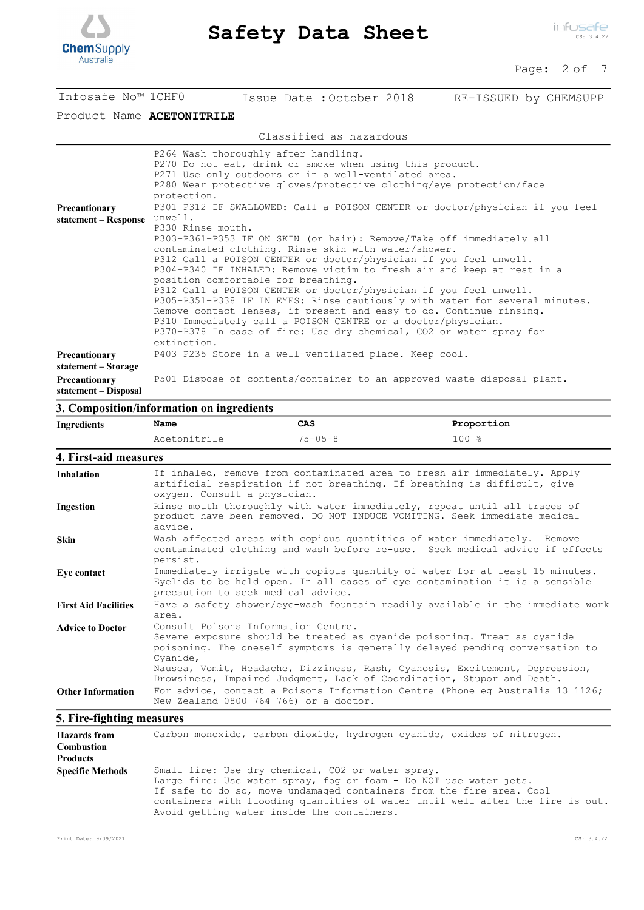

#### Page: 2 of 7

| Infosafe No™ 1CHF0                    | Issue Date : October 2018<br>RE-ISSUED by CHEMSUPP                                                                                                                                                                                                                                                                                                                                                                                                                                                                                                                                                                                                                                                                                                                                                                                                                                                                                                                                                                                                                    |
|---------------------------------------|-----------------------------------------------------------------------------------------------------------------------------------------------------------------------------------------------------------------------------------------------------------------------------------------------------------------------------------------------------------------------------------------------------------------------------------------------------------------------------------------------------------------------------------------------------------------------------------------------------------------------------------------------------------------------------------------------------------------------------------------------------------------------------------------------------------------------------------------------------------------------------------------------------------------------------------------------------------------------------------------------------------------------------------------------------------------------|
| Product Name ACETONITRILE             |                                                                                                                                                                                                                                                                                                                                                                                                                                                                                                                                                                                                                                                                                                                                                                                                                                                                                                                                                                                                                                                                       |
|                                       | Classified as hazardous                                                                                                                                                                                                                                                                                                                                                                                                                                                                                                                                                                                                                                                                                                                                                                                                                                                                                                                                                                                                                                               |
| Precautionary<br>statement – Response | P264 Wash thoroughly after handling.<br>P270 Do not eat, drink or smoke when using this product.<br>P271 Use only outdoors or in a well-ventilated area.<br>P280 Wear protective gloves/protective clothing/eye protection/face<br>protection.<br>P301+P312 IF SWALLOWED: Call a POISON CENTER or doctor/physician if you feel<br>unwell.<br>P330 Rinse mouth.<br>P303+P361+P353 IF ON SKIN (or hair): Remove/Take off immediately all<br>contaminated clothing. Rinse skin with water/shower.<br>P312 Call a POISON CENTER or doctor/physician if you feel unwell.<br>P304+P340 IF INHALED: Remove victim to fresh air and keep at rest in a<br>position comfortable for breathing.<br>P312 Call a POISON CENTER or doctor/physician if you feel unwell.<br>P305+P351+P338 IF IN EYES: Rinse cautiously with water for several minutes.<br>Remove contact lenses, if present and easy to do. Continue rinsing.<br>P310 Immediately call a POISON CENTRE or a doctor/physician.<br>P370+P378 In case of fire: Use dry chemical, CO2 or water spray for<br>extinction. |
| Precautionary<br>statement – Storage  | P403+P235 Store in a well-ventilated place. Keep cool.                                                                                                                                                                                                                                                                                                                                                                                                                                                                                                                                                                                                                                                                                                                                                                                                                                                                                                                                                                                                                |
| Precautionary<br>statement – Disposal | P501 Dispose of contents/container to an approved waste disposal plant.                                                                                                                                                                                                                                                                                                                                                                                                                                                                                                                                                                                                                                                                                                                                                                                                                                                                                                                                                                                               |

## **3. Composition/information on ingredients**

| Ingredients                 | Name                                            | CAS                                    | Proportion                                                                                                                                                                                                                                                                                                        |
|-----------------------------|-------------------------------------------------|----------------------------------------|-------------------------------------------------------------------------------------------------------------------------------------------------------------------------------------------------------------------------------------------------------------------------------------------------------------------|
|                             | Acetonitrile                                    | $75 - 05 - 8$                          | $100*$                                                                                                                                                                                                                                                                                                            |
| 4. First-aid measures       |                                                 |                                        |                                                                                                                                                                                                                                                                                                                   |
| <b>Inhalation</b>           | oxygen. Consult a physician.                    |                                        | If inhaled, remove from contaminated area to fresh air immediately. Apply<br>artificial respiration if not breathing. If breathing is difficult, give                                                                                                                                                             |
| Ingestion                   | advice.                                         |                                        | Rinse mouth thoroughly with water immediately, repeat until all traces of<br>product have been removed. DO NOT INDUCE VOMITING. Seek immediate medical                                                                                                                                                            |
| <b>Skin</b>                 | persist.                                        |                                        | Wash affected areas with copious quantities of water immediately. Remove<br>contaminated clothing and wash before re-use. Seek medical advice if effects                                                                                                                                                          |
| Eye contact                 | precaution to seek medical advice.              |                                        | Immediately irrigate with copious quantity of water for at least 15 minutes.<br>Eyelids to be held open. In all cases of eye contamination it is a sensible                                                                                                                                                       |
| <b>First Aid Facilities</b> | area.                                           |                                        | Have a safety shower/eye-wash fountain readily available in the immediate work                                                                                                                                                                                                                                    |
| <b>Advice to Doctor</b>     | Consult Poisons Information Centre.<br>Cyanide, |                                        | Severe exposure should be treated as cyanide poisoning. Treat as cyanide<br>poisoning. The oneself symptoms is generally delayed pending conversation to<br>Nausea, Vomit, Headache, Dizziness, Rash, Cyanosis, Excitement, Depression,<br>Drowsiness, Impaired Judgment, Lack of Coordination, Stupor and Death. |
| <b>Other Information</b>    |                                                 | New Zealand 0800 764 766) or a doctor. | For advice, contact a Poisons Information Centre (Phone eq Australia 13 1126;                                                                                                                                                                                                                                     |

## **5. Fire-fighting measures**

| <b>Hazards</b> from     | Carbon monoxide, carbon dioxide, hydrogen cyanide, oxides of nitrogen.                                                                                                                                                                                                                                                         |
|-------------------------|--------------------------------------------------------------------------------------------------------------------------------------------------------------------------------------------------------------------------------------------------------------------------------------------------------------------------------|
| <b>Combustion</b>       |                                                                                                                                                                                                                                                                                                                                |
| <b>Products</b>         |                                                                                                                                                                                                                                                                                                                                |
| <b>Specific Methods</b> | Small fire: Use dry chemical, CO2 or water spray.<br>Large fire: Use water spray, fog or foam - Do NOT use water jets.<br>If safe to do so, move undamaged containers from the fire area. Cool<br>containers with flooding quantities of water until well after the fire is out.<br>Avoid getting water inside the containers. |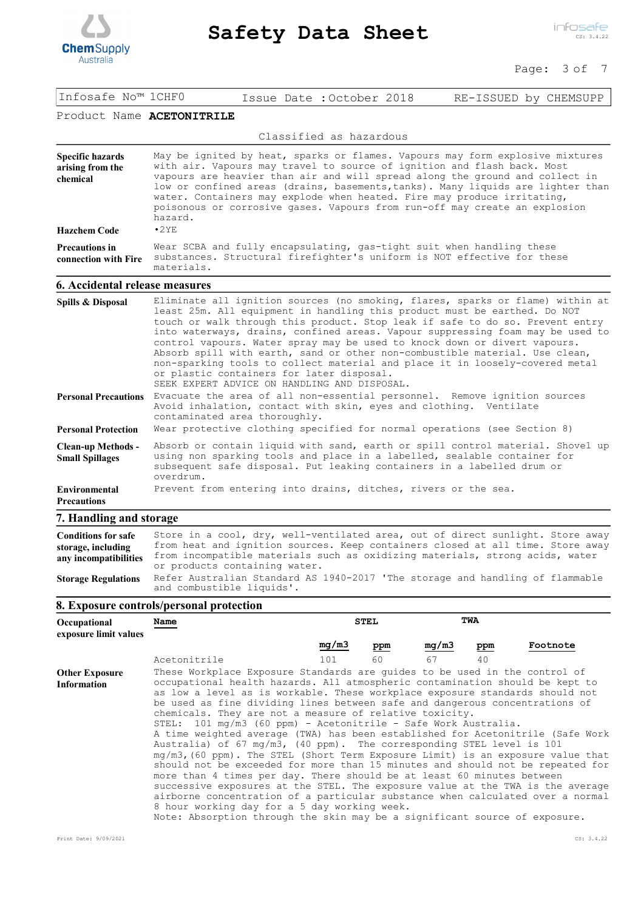

#### Page: 3 of 7

| Infosafe No™ 1CHF0                                                             | Issue Date: October 2018<br>RE-ISSUED by CHEMSUPP                                                                                                                                                                                                                                                                                                                                                                                                                                                                                                                                                                                                                       |  |  |  |
|--------------------------------------------------------------------------------|-------------------------------------------------------------------------------------------------------------------------------------------------------------------------------------------------------------------------------------------------------------------------------------------------------------------------------------------------------------------------------------------------------------------------------------------------------------------------------------------------------------------------------------------------------------------------------------------------------------------------------------------------------------------------|--|--|--|
| Product Name ACETONITRILE                                                      |                                                                                                                                                                                                                                                                                                                                                                                                                                                                                                                                                                                                                                                                         |  |  |  |
|                                                                                | Classified as hazardous                                                                                                                                                                                                                                                                                                                                                                                                                                                                                                                                                                                                                                                 |  |  |  |
| <b>Specific hazards</b><br>arising from the<br>chemical<br><b>Hazchem Code</b> | May be ignited by heat, sparks or flames. Vapours may form explosive mixtures<br>with air. Vapours may travel to source of ignition and flash back. Most<br>vapours are heavier than air and will spread along the ground and collect in<br>low or confined areas (drains, basements, tanks). Many liquids are lighter than<br>water. Containers may explode when heated. Fire may produce irritating,<br>poisonous or corrosive gases. Vapours from run-off may create an explosion<br>hazard.<br>•2YE                                                                                                                                                                 |  |  |  |
| <b>Precautions in</b><br>connection with Fire                                  | Wear SCBA and fully encapsulating, gas-tight suit when handling these<br>substances. Structural firefighter's uniform is NOT effective for these<br>materials.                                                                                                                                                                                                                                                                                                                                                                                                                                                                                                          |  |  |  |
| 6. Accidental release measures                                                 |                                                                                                                                                                                                                                                                                                                                                                                                                                                                                                                                                                                                                                                                         |  |  |  |
| Spills & Disposal                                                              | Eliminate all ignition sources (no smoking, flares, sparks or flame) within at<br>least 25m. All equipment in handling this product must be earthed. Do NOT<br>touch or walk through this product. Stop leak if safe to do so. Prevent entry<br>into waterways, drains, confined areas. Vapour suppressing foam may be used to<br>control vapours. Water spray may be used to knock down or divert vapours.<br>Absorb spill with earth, sand or other non-combustible material. Use clean,<br>non-sparking tools to collect material and place it in loosely-covered metal<br>or plastic containers for later disposal.<br>SEEK EXPERT ADVICE ON HANDLING AND DISPOSAL. |  |  |  |
| <b>Personal Precautions</b>                                                    | Evacuate the area of all non-essential personnel. Remove ignition sources<br>Avoid inhalation, contact with skin, eyes and clothing. Ventilate<br>contaminated area thoroughly.                                                                                                                                                                                                                                                                                                                                                                                                                                                                                         |  |  |  |
| <b>Personal Protection</b>                                                     | Wear protective clothing specified for normal operations (see Section 8)                                                                                                                                                                                                                                                                                                                                                                                                                                                                                                                                                                                                |  |  |  |
| <b>Clean-up Methods -</b><br><b>Small Spillages</b>                            | Absorb or contain liquid with sand, earth or spill control material. Shovel up<br>using non sparking tools and place in a labelled, sealable container for<br>subsequent safe disposal. Put leaking containers in a labelled drum or<br>overdrum.                                                                                                                                                                                                                                                                                                                                                                                                                       |  |  |  |
| <b>Environmental</b><br><b>Precautions</b>                                     | Prevent from entering into drains, ditches, rivers or the sea.                                                                                                                                                                                                                                                                                                                                                                                                                                                                                                                                                                                                          |  |  |  |

## **7. Handling and storage**

| <b>Conditions for safe</b><br>storage, including<br>any incompatibilities | Store in a cool, dry, well-ventilated area, out of direct sunlight. Store away<br>from heat and ignition sources. Keep containers closed at all time. Store away<br>from incompatible materials such as oxidizing materials, strong acids, water<br>or products containing water. |
|---------------------------------------------------------------------------|-----------------------------------------------------------------------------------------------------------------------------------------------------------------------------------------------------------------------------------------------------------------------------------|
| <b>Storage Regulations</b>                                                | Refer Australian Standard AS 1940-2017 'The storage and handling of flammable<br>and combustible liquids'.                                                                                                                                                                        |

## **8. Exposure controls/personal protection**

| Occupational<br>exposure limit values       | Name                                                                                                                                                                                                                                                                                                                                                                                                                                                                                                                                                                                                                                                                                                                                                                                                                                                                                                                                                                                                                                                                                                                                                                        |       | <b>STEL</b> | <b>TWA</b> |     |          |
|---------------------------------------------|-----------------------------------------------------------------------------------------------------------------------------------------------------------------------------------------------------------------------------------------------------------------------------------------------------------------------------------------------------------------------------------------------------------------------------------------------------------------------------------------------------------------------------------------------------------------------------------------------------------------------------------------------------------------------------------------------------------------------------------------------------------------------------------------------------------------------------------------------------------------------------------------------------------------------------------------------------------------------------------------------------------------------------------------------------------------------------------------------------------------------------------------------------------------------------|-------|-------------|------------|-----|----------|
|                                             |                                                                                                                                                                                                                                                                                                                                                                                                                                                                                                                                                                                                                                                                                                                                                                                                                                                                                                                                                                                                                                                                                                                                                                             | mq/m3 | ppm         | mg/m3      | ppm | Footnote |
|                                             | Acetonitrile                                                                                                                                                                                                                                                                                                                                                                                                                                                                                                                                                                                                                                                                                                                                                                                                                                                                                                                                                                                                                                                                                                                                                                | 101   | 60          | 67         | 40  |          |
| <b>Other Exposure</b><br><b>Information</b> | These Workplace Exposure Standards are quides to be used in the control of<br>occupational health hazards. All atmospheric contamination should be kept to<br>as low a level as is workable. These workplace exposure standards should not<br>be used as fine dividing lines between safe and dangerous concentrations of<br>chemicals. They are not a measure of relative toxicity.<br>STEL: $101 \text{ mg/m}$ (60 ppm) - Acetonitrile - Safe Work Australia.<br>A time weighted average (TWA) has been established for Acetonitrile (Safe Work<br>Australia) of 67 mg/m3, (40 ppm). The corresponding STEL level is 101<br>mq/m3, (60 ppm). The STEL (Short Term Exposure Limit) is an exposure value that<br>should not be exceeded for more than 15 minutes and should not be repeated for<br>more than 4 times per day. There should be at least 60 minutes between<br>successive exposures at the STEL. The exposure value at the TWA is the average<br>airborne concentration of a particular substance when calculated over a normal<br>8 hour working day for a 5 day working week.<br>Note: Absorption through the skin may be a significant source of exposure. |       |             |            |     |          |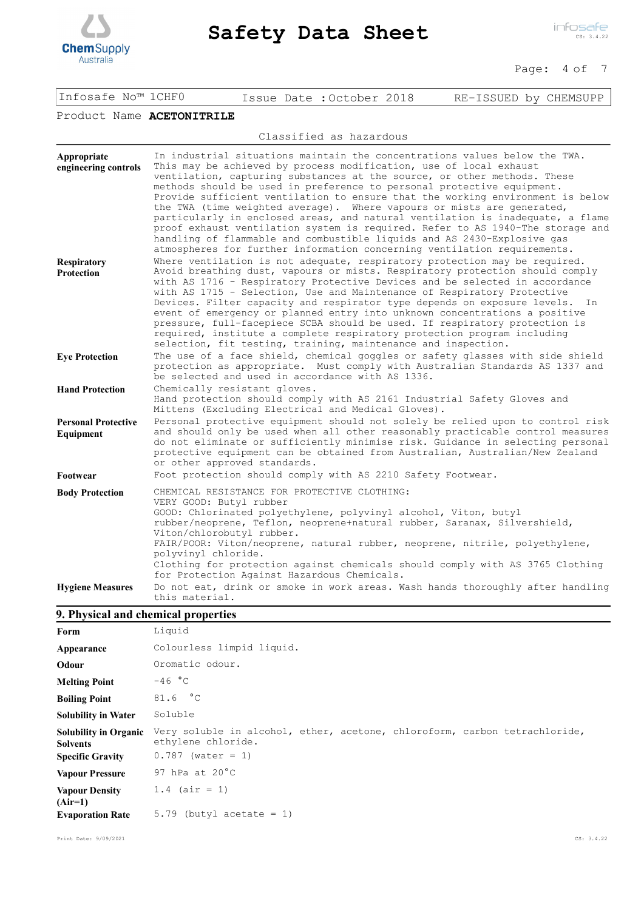

| Product Name ACETONITRILE               |                                                                                                                                                                                                                                                                                                                                                                                                                                                                                                                                                                                                                                                                                                                                                                                               |
|-----------------------------------------|-----------------------------------------------------------------------------------------------------------------------------------------------------------------------------------------------------------------------------------------------------------------------------------------------------------------------------------------------------------------------------------------------------------------------------------------------------------------------------------------------------------------------------------------------------------------------------------------------------------------------------------------------------------------------------------------------------------------------------------------------------------------------------------------------|
|                                         | Classified as hazardous                                                                                                                                                                                                                                                                                                                                                                                                                                                                                                                                                                                                                                                                                                                                                                       |
| Appropriate<br>engineering controls     | In industrial situations maintain the concentrations values below the TWA.<br>This may be achieved by process modification, use of local exhaust<br>ventilation, capturing substances at the source, or other methods. These<br>methods should be used in preference to personal protective equipment.<br>Provide sufficient ventilation to ensure that the working environment is below<br>the TWA (time weighted average). Where vapours or mists are generated,<br>particularly in enclosed areas, and natural ventilation is inadequate, a flame<br>proof exhaust ventilation system is required. Refer to AS 1940-The storage and<br>handling of flammable and combustible liquids and AS 2430-Explosive gas<br>atmospheres for further information concerning ventilation requirements. |
| <b>Respiratory</b><br><b>Protection</b> | Where ventilation is not adequate, respiratory protection may be required.<br>Avoid breathing dust, vapours or mists. Respiratory protection should comply<br>with AS 1716 - Respiratory Protective Devices and be selected in accordance<br>with AS 1715 - Selection, Use and Maintenance of Respiratory Protective<br>Devices. Filter capacity and respirator type depends on exposure levels. In                                                                                                                                                                                                                                                                                                                                                                                           |

event of emergency or planned entry into unknown concentrations a positive pressure, full-facepiece SCBA should be used. If respiratory protection is required, institute a complete respiratory protection program including

Infosafe No™ 1CHF0 Issue Date :October 2018 RE-ISSUED by CHEMSUPP

selection, fit testing, training, maintenance and inspection. The use of a face shield, chemical goggles or safety glasses with side shield protection as appropriate. Must comply with Australian Standards AS 1337 and be selected and used in accordance with AS 1336. **Eye Protection** Chemically resistant gloves. Hand protection should comply with AS 2161 Industrial Safety Gloves and Mittens (Excluding Electrical and Medical Gloves). **Hand Protection** Personal protective equipment should not solely be relied upon to control risk and should only be used when all other reasonably practicable control measures do not eliminate or sufficiently minimise risk. Guidance in selecting personal protective equipment can be obtained from Australian, Australian/New Zealand or other approved standards. **Personal Protective Footwear** Foot protection should comply with AS 2210 Safety Footwear.

CHEMICAL RESISTANCE FOR PROTECTIVE CLOTHING: VERY GOOD: Butyl rubber GOOD: Chlorinated polyethylene, polyvinyl alcohol, Viton, butyl rubber/neoprene, Teflon, neoprene+natural rubber, Saranax, Silvershield, Viton/chlorobutyl rubber. FAIR/POOR: Viton/neoprene, natural rubber, neoprene, nitrile, polyethylene, polyvinyl chloride. Clothing for protection against chemicals should comply with AS 3765 Clothing for Protection Against Hazardous Chemicals. **Body Protection** Do not eat, drink or smoke in work areas. Wash hands thoroughly after handling this material. **Hygiene Measures**

## **9. Physical and chemical properties**

| Form                               | Liquid                                                                     |
|------------------------------------|----------------------------------------------------------------------------|
| Appearance                         | Colourless limpid liquid.                                                  |
| Odour                              | Oromatic odour.                                                            |
| <b>Melting Point</b>               | $-46 °C$                                                                   |
| <b>Boiling Point</b>               | 81.6 °C                                                                    |
| <b>Solubility in Water</b>         | Soluble                                                                    |
| <b>Solubility in Organic</b>       | Very soluble in alcohol, ether, acetone, chloroform, carbon tetrachloride, |
| <b>Solvents</b>                    | ethylene chloride.                                                         |
| <b>Specific Gravity</b>            | $0.787$ (water = 1)                                                        |
| <b>Vapour Pressure</b>             | 97 hPa at $20^{\circ}$ C                                                   |
| <b>Vapour Density</b><br>$(Air=1)$ | $1.4$ (air = 1)                                                            |

Print Date: 9/09/2021 CS: 3.4.22

**Equipment**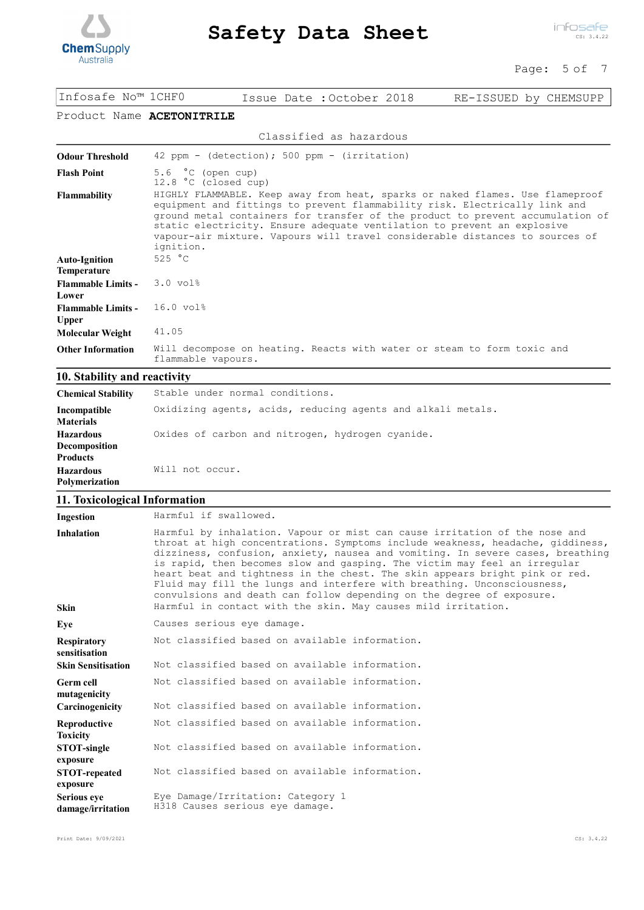

#### Page: 5 of 7

| Infosafe No™ 1CHFO                         | Issue Date: October 2018<br>RE-ISSUED by CHEMSUPP                                                                                                                                                                                                                                                                                                                                                                     |  |  |
|--------------------------------------------|-----------------------------------------------------------------------------------------------------------------------------------------------------------------------------------------------------------------------------------------------------------------------------------------------------------------------------------------------------------------------------------------------------------------------|--|--|
| Product Name ACETONITRILE                  |                                                                                                                                                                                                                                                                                                                                                                                                                       |  |  |
|                                            | Classified as hazardous                                                                                                                                                                                                                                                                                                                                                                                               |  |  |
| <b>Odour Threshold</b>                     | 42 ppm - (detection); 500 ppm - (irritation)                                                                                                                                                                                                                                                                                                                                                                          |  |  |
| <b>Flash Point</b>                         | 5.6 $\degree$ C (open cup)<br>12.8 °C (closed cup)                                                                                                                                                                                                                                                                                                                                                                    |  |  |
| <b>Flammability</b>                        | HIGHLY FLAMMABLE. Keep away from heat, sparks or naked flames. Use flameproof<br>equipment and fittings to prevent flammability risk. Electrically link and<br>ground metal containers for transfer of the product to prevent accumulation of<br>static electricity. Ensure adequate ventilation to prevent an explosive<br>vapour-air mixture. Vapours will travel considerable distances to sources of<br>ignition. |  |  |
| <b>Auto-Ignition</b><br><b>Temperature</b> | 525 °C                                                                                                                                                                                                                                                                                                                                                                                                                |  |  |
| <b>Flammable Limits -</b><br>Lower         | $3.0$ vol <sup>2</sup>                                                                                                                                                                                                                                                                                                                                                                                                |  |  |
| <b>Flammable Limits -</b><br><b>Upper</b>  | 16.0 vol%                                                                                                                                                                                                                                                                                                                                                                                                             |  |  |
| Molecular Weight                           | 41.05                                                                                                                                                                                                                                                                                                                                                                                                                 |  |  |
| <b>Other Information</b>                   | Will decompose on heating. Reacts with water or steam to form toxic and<br>flammable vapours.                                                                                                                                                                                                                                                                                                                         |  |  |

## **10. Stability and reactivity**

| <b>Chemical Stability</b>                            | Stable under normal conditions.                             |
|------------------------------------------------------|-------------------------------------------------------------|
| Incompatible<br><b>Materials</b>                     | Oxidizing agents, acids, reducing agents and alkali metals. |
| <b>Hazardous</b><br>Decomposition<br><b>Products</b> | Oxides of carbon and nitrogen, hydrogen cyanide.            |
| <b>Hazardous</b><br>Polymerization                   | Will not occur.                                             |

## **11. Toxicological Information**

| Ingestion                                                        | Harmful if swallowed.                                                                                                                                                                                                                                                                                                                                                                                                                                                                                                                                                                                                           |
|------------------------------------------------------------------|---------------------------------------------------------------------------------------------------------------------------------------------------------------------------------------------------------------------------------------------------------------------------------------------------------------------------------------------------------------------------------------------------------------------------------------------------------------------------------------------------------------------------------------------------------------------------------------------------------------------------------|
| <b>Inhalation</b><br><b>Skin</b>                                 | Harmful by inhalation. Vapour or mist can cause irritation of the nose and<br>throat at high concentrations. Symptoms include weakness, headache, giddiness,<br>dizziness, confusion, anxiety, nausea and vomiting. In severe cases, breathing<br>is rapid, then becomes slow and gasping. The victim may feel an irregular<br>heart beat and tightness in the chest. The skin appears bright pink or red.<br>Fluid may fill the lungs and interfere with breathing. Unconsciousness,<br>convulsions and death can follow depending on the degree of exposure.<br>Harmful in contact with the skin. May causes mild irritation. |
| Eye                                                              | Causes serious eye damage.                                                                                                                                                                                                                                                                                                                                                                                                                                                                                                                                                                                                      |
| <b>Respiratory</b><br>sensitisation<br><b>Skin Sensitisation</b> | Not classified based on available information.<br>Not classified based on available information.                                                                                                                                                                                                                                                                                                                                                                                                                                                                                                                                |
| <b>Germ cell</b><br>mutagenicity<br>Carcinogenicity              | Not classified based on available information.<br>Not classified based on available information.                                                                                                                                                                                                                                                                                                                                                                                                                                                                                                                                |
| Reproductive<br><b>Toxicity</b>                                  | Not classified based on available information.                                                                                                                                                                                                                                                                                                                                                                                                                                                                                                                                                                                  |
| STOT-single<br>exposure                                          | Not classified based on available information.                                                                                                                                                                                                                                                                                                                                                                                                                                                                                                                                                                                  |
| <b>STOT-repeated</b><br>exposure                                 | Not classified based on available information.                                                                                                                                                                                                                                                                                                                                                                                                                                                                                                                                                                                  |
| <b>Serious eye</b><br>damage/irritation                          | Eye Damage/Irritation: Category 1<br>H318 Causes serious eye damage.                                                                                                                                                                                                                                                                                                                                                                                                                                                                                                                                                            |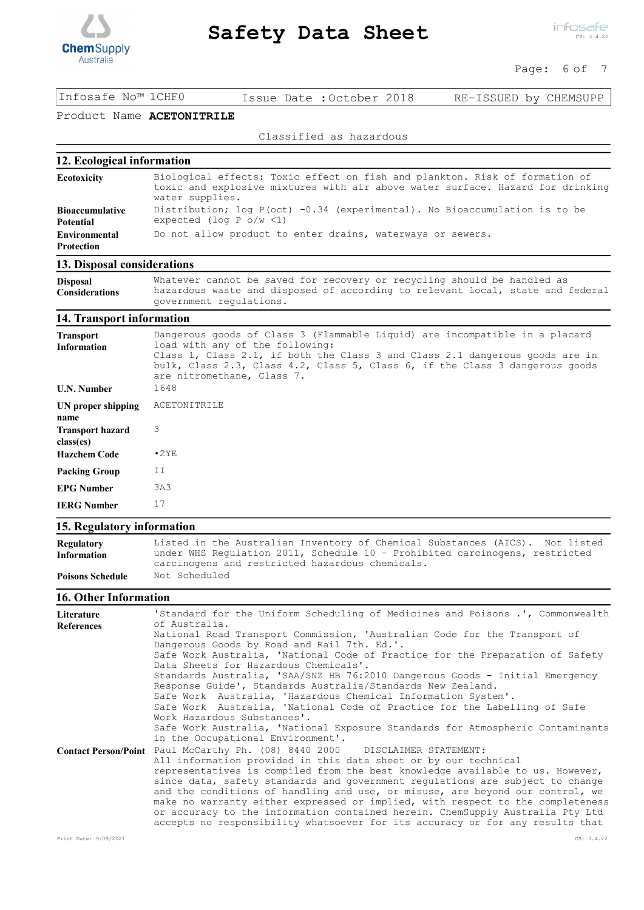

### Page: 6 of 7

Infosafe No™ 1CHF0 Issue Date :October 2018 RE-ISSUED by CHEMSUPP

## Product Name ACETONITRILE

Classified as hazardous

## **12. Ecological information**

| Ecotoxicity                         | Biological effects: Toxic effect on fish and plankton. Risk of formation of<br>toxic and explosive mixtures with air above water surface. Hazard for drinking<br>water supplies. |
|-------------------------------------|----------------------------------------------------------------------------------------------------------------------------------------------------------------------------------|
| <b>Bioaccumulative</b><br>Potential | Distribution; log $P(oct) -0.34$ (experimental). No Bioaccumulation is to be<br>expected (log P $o/w < 1$ )                                                                      |
| <b>Environmental</b><br>Protection  | Do not allow product to enter drains, waterways or sewers.                                                                                                                       |
| 12 Diesen Lagenderstein             |                                                                                                                                                                                  |

#### **13. Disposal considerations**

**Disposal Considerations** Whatever cannot be saved for recovery or recycling should be handled as hazardous waste and disposed of according to relevant local, state and federal government regulations.

#### **14. Transport information**

| Transport<br><b>Information</b>      | Dangerous goods of Class 3 (Flammable Liquid) are incompatible in a placard<br>load with any of the following:<br>Class 1, Class 2.1, if both the Class 3 and Class 2.1 dangerous goods are in<br>bulk, Class 2.3, Class 4.2, Class 5, Class 6, if the Class 3 dangerous goods<br>are nitromethane, Class 7. |
|--------------------------------------|--------------------------------------------------------------------------------------------------------------------------------------------------------------------------------------------------------------------------------------------------------------------------------------------------------------|
| U.N. Number                          | 1648                                                                                                                                                                                                                                                                                                         |
| UN proper shipping<br>name           | ACETONITRILE                                                                                                                                                                                                                                                                                                 |
| <b>Transport hazard</b><br>class(es) | 3                                                                                                                                                                                                                                                                                                            |
| <b>Hazchem Code</b>                  | $\cdot$ 2 YE                                                                                                                                                                                                                                                                                                 |
| Packing Group                        | ΙI                                                                                                                                                                                                                                                                                                           |
| EPG Number                           | 3A3                                                                                                                                                                                                                                                                                                          |
| <b>IERG Number</b>                   | 17                                                                                                                                                                                                                                                                                                           |

#### **15. Regulatory information**

| Regulatory<br><b>Information</b> | Listed in the Australian Inventory of Chemical Substances (AICS). Not listed<br>under WHS Regulation 2011, Schedule 10 - Prohibited carcinogens, restricted |
|----------------------------------|-------------------------------------------------------------------------------------------------------------------------------------------------------------|
|                                  | carcinogens and restricted hazardous chemicals.                                                                                                             |
| <b>Poisons Schedule</b>          | Not Scheduled                                                                                                                                               |

### **16. Other Information**

| Literature<br><b>References</b> | 'Standard for the Uniform Scheduling of Medicines and Poisons .', Commonwealth<br>of Australia.                                                                                                                                                                                                                                                                                                                                                                                                                                                                                                                                  |
|---------------------------------|----------------------------------------------------------------------------------------------------------------------------------------------------------------------------------------------------------------------------------------------------------------------------------------------------------------------------------------------------------------------------------------------------------------------------------------------------------------------------------------------------------------------------------------------------------------------------------------------------------------------------------|
|                                 | National Road Transport Commission, 'Australian Code for the Transport of<br>Dangerous Goods by Road and Rail 7th. Ed.'.                                                                                                                                                                                                                                                                                                                                                                                                                                                                                                         |
|                                 | Safe Work Australia, 'National Code of Practice for the Preparation of Safety<br>Data Sheets for Hazardous Chemicals'.                                                                                                                                                                                                                                                                                                                                                                                                                                                                                                           |
|                                 | Standards Australia, 'SAA/SNZ HB 76:2010 Dangerous Goods - Initial Emergency<br>Response Guide', Standards Australia/Standards New Zealand.                                                                                                                                                                                                                                                                                                                                                                                                                                                                                      |
|                                 | Safe Work Australia, 'Hazardous Chemical Information System'.<br>Safe Work Australia, 'National Code of Practice for the Labelling of Safe                                                                                                                                                                                                                                                                                                                                                                                                                                                                                       |
|                                 | Work Hazardous Substances'.<br>Safe Work Australia, 'National Exposure Standards for Atmospheric Contaminants                                                                                                                                                                                                                                                                                                                                                                                                                                                                                                                    |
|                                 | in the Occupational Environment'.                                                                                                                                                                                                                                                                                                                                                                                                                                                                                                                                                                                                |
| <b>Contact Person/Point</b>     | Paul McCarthy Ph. (08) 8440 2000 DISCLAIMER STATEMENT:<br>All information provided in this data sheet or by our technical<br>representatives is compiled from the best knowledge available to us. However,<br>since data, safety standards and government regulations are subject to change<br>and the conditions of handling and use, or misuse, are beyond our control, we<br>make no warranty either expressed or implied, with respect to the completeness<br>or accuracy to the information contained herein. ChemSupply Australia Pty Ltd<br>accepts no responsibility whatsoever for its accuracy or for any results that |